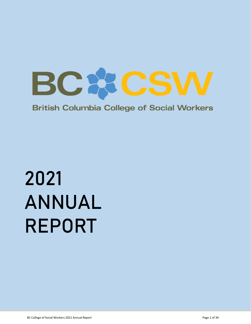

**British Columbia College of Social Workers** 

# 2021 ANNUAL REPORT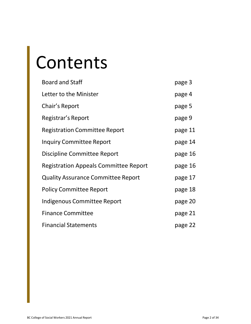# Contents

| <b>Board and Staff</b>                       | page 3  |
|----------------------------------------------|---------|
| Letter to the Minister                       | page 4  |
| Chair's Report                               | page 5  |
| Registrar's Report                           | page 9  |
| <b>Registration Committee Report</b>         | page 11 |
| <b>Inquiry Committee Report</b>              | page 14 |
| Discipline Committee Report                  | page 16 |
| <b>Registration Appeals Committee Report</b> | page 16 |
| <b>Quality Assurance Committee Report</b>    | page 17 |
| <b>Policy Committee Report</b>               | page 18 |
| Indigenous Committee Report                  | page 20 |
| <b>Finance Committee</b>                     | page 21 |
| <b>Financial Statements</b>                  | page 22 |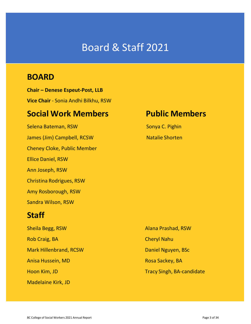# Board & Staff 2021

# **BOARD**

**Chair – Denese Espeut-Post, LLB Vice Chair** - Sonia Andhi Bilkhu, RSW

# **Social Work Members Public Members**

Selena Bateman, RSW Selena Bateman, RSW James (Jim) Campbell, RCSW Natalie Shorten Cheney Cloke, Public Member Ellice Daniel, RSW Ann Joseph, RSW Christina Rodrigues, RSW Amy Rosborough, RSW Sandra Wilson, RSW

# **Staff**

Sheila Begg, RSW Alana Prashad, RSW Rob Craig, BA Cheryl Nahu Mark Hillenbrand, RCSW Daniel Nguyen, BSc Anisa Hussein, MD Rosa Sackey, BA Madelaine Kirk, JD

Hoon Kim, JD Tracy Singh, BA-candidate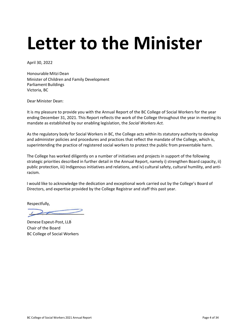# **Letter to the Minister**

April 30, 2022

Honourable Mitzi Dean Minister of Children and Family Development Parliament Buildings Victoria, BC

Dear Minister Dean:

It is my pleasure to provide you with the Annual Report of the BC College of Social Workers for the year ending December 31, 2021. This Report reflects the work of the College throughout the year in meeting its mandate as established by our enabling legislation, the *Social Workers Act.*

As the regulatory body for Social Workers in BC, the College acts within its statutory authority to develop and administer policies and procedures and practices that reflect the mandate of the College, which is, superintending the practice of registered social workers to protect the public from preventable harm.

The College has worked diligently on a number of initiatives and projects in support of the following strategic priorities described in further detail in the Annual Report, namely i) strengthen Board capacity, ii) public protection, iii) Indigenous initiatives and relations, and iv) cultural safety, cultural humility, and antiracism.

I would like to acknowledge the dedication and exceptional work carried out by the College's Board of Directors, and expertise provided by the College Registrar and staff this past year.

Respectfully,

Denese Espeut-Post, LLB Chair of the Board BC College of Social Workers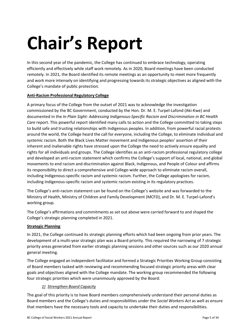# **Chair's Report**

In this second year of the pandemic, the College has continued to embrace technology, operating efficiently and effectively while staff work remotely. As in 2020, Board meetings have been conducted remotely. In 2021, the Board identified its remote meetings as an opportunity to meet more frequently and work more intensely on identifying and progressing towards its strategic objectives as aligned with the College's mandate of public protection.

# **Anti-Racism Professional Regulatory College**

A primary focus of the College from the outset of 2021 was to acknowledge the investigation commissioned by the BC Government, conducted by the Hon. Dr. M. E. Turpel-Lafond (Aki-Kwe) and documented in the *In Plain Sight: Addressing Indigenous-Specific Racism and Discrimination in BC Health Care* report. This powerful report identified many calls to action and the College committed to taking steps to build safe and trusting relationships with Indigenous peoples. In addition, from powerful racial protests around the world, the College heard the call for everyone, including the College, to eliminate individual and systemic racism. Both the Black Lives Matter movement and Indigenous peoples' assertion of their inherent and inalienable rights have stressed upon the College the need to actively ensure equality and rights for all individuals and groups. The College identifies as an anti-racism professional regulatory college and developed an anti-racism statement which confirms the College's support of local, national, and global movements to end racism and discrimination against Black, Indigenous, and People of Colour and affirms its responsibility to direct a comprehensive and College-wide approach to eliminate racism overall, including Indigenous-specific racism and systemic racism. Further, the College apologizes for racism, including Indigenous-specific racism and systemic racism existing in its regulatory practices.

The College's anti-racism statement can be found on the College's website and was forwarded to the Ministry of Health, Ministry of Children and Family Development (MCFD), and Dr. M. E. Turpel-Lafond's working group.

The College's affirmations and commitments as set out above were carried forward to and shaped the College's strategic planning completed in 2021.

## **Strategic Planning**

In 2021, the College continued its strategic planning efforts which had been ongoing from prior years. The development of a multi-year strategic plan was a Board priority. This required the narrowing of 7 strategic priority areas generated from earlier strategic planning sessions and other sources such as our 2020 annual general meeting.

The College engaged an independent facilitator and formed a Strategic Priorities Working Group consisting of Board members tasked with reviewing and recommending focused strategic priority areas with clear goals and objectives aligned with the College mandate. The working group recommended the following four strategic priorities which were unanimously approved by the Board:

# *1) Strengthen Board Capacity*

The goal of this priority is to have Board members comprehensively understand their personal duties as Board members and the College's duties and responsibilities under the *Social Workers Act* as well as ensure that members have the necessary tools and capacity to undertake their duties and responsibilities.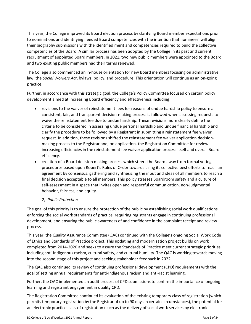This year, the College improved its Board election process by clarifying Board member expectations prior to nominations and identifying needed Board competencies with the intention that nominees' will align their biography submissions with the identified merit and competencies required to build the collective competencies of the Board. A similar process has been adopted by the College in its past and current recruitment of appointed Board members. In 2021, two new public members were appointed to the Board and two existing public members had their terms renewed.

The College also commenced an in-house orientation for new Board members focusing on administrative law, the *Social Workers Act*, bylaws, policy, and procedure. This orientation will continue as an on-going practice.

Further, in accordance with this strategic goal, the College's Policy Committee focused on certain policy development aimed at increasing Board efficiency and effectiveness including:

- revisions to the waiver of reinstatement fees for reasons of undue hardship policy to ensure a consistent, fair, and transparent decision-making process is followed when assessing requests to waive the reinstatement fee due to undue hardship. These revisions more clearly define the criteria to be considered in assessing undue personal hardship and undue financial hardship and clarify the procedure to be followed by a Registrant in submitting a reinstatement fee waiver request. In addition, these revisions shifted the reinstatement fee waiver application decisionmaking process to the Registrar and, on application, the Registration Committee for review increasing efficiencies in the reinstatement fee waiver application process itself and overall Board efficiency.
- creation of a Board decision making process which steers the Board away from formal voting procedures based upon Robert's Rules of Order towards using its collective best efforts to reach an agreement by consensus, gathering and synthesizing the input and ideas of all members to reach a final decision acceptable to all members. This policy stresses Boardroom safety and a culture of self-assessment in a space that invites open and respectful communication, non-judgmental behavior, fairness, and equity.

# *2) Public Protection*

The goal of this priority is to ensure the protection of the public by establishing social work qualifications, enforcing the social work standards of practice, requiring registrants engage in continuing professional development, and ensuring the public awareness of and confidence in the complaint receipt and review process.

This year, the Quality Assurance Committee (QAC) continued with the College's ongoing Social Work Code of Ethics and Standards of Practice project. This updating and modernization project builds on work completed from 2014-2020 and seeks to assure the Standards of Practice meet current strategic priorities including anti-Indigenous racism, cultural safety, and cultural humility. The QAC is working towards moving into the second stage of this project and seeking stakeholder feedback in 2022.

The QAC also continued its review of continuing professional development (CPD) requirements with the goal of setting annual requirements for anti-Indigenous racism and anti-racist learning.

Further, the QAC implemented an audit process of CPD submissions to confirm the importance of ongoing learning and registrant engagement in quality CPD.

The Registration Committee continued its evaluation of the existing temporary class of registration (which permits temporary registration by the Registrar of up to 90 days in certain circumstances), the potential for an electronic practice class of registration (such as the delivery of social work services by electronic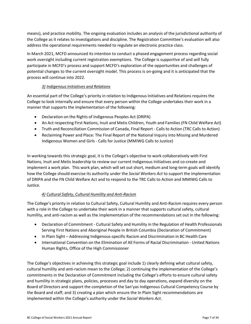means), and practice mobility. The ongoing evaluation includes an analysis of the jurisdictional authority of the College as it relates to investigations and discipline. The Registration Committee's evaluation will also address the operational requirements needed to regulate an electronic practice class.

In March 2021, MCFD announced its intention to conduct a phased engagement process regarding social work oversight including current registration exemptions. The College is supportive of and will fully participate in MCFD's process and support MCFD's exploration of the opportunities and challenges of potential changes to the current oversight model. This process is on-going and it is anticipated that the process will continue into 2022.

# *3) Indigenous Initiatives and Relations*

An essential part of the College's priority in relation to Indigenous Initiatives and Relations requires the College to look internally and ensure that every person within the College undertakes their work in a manner that supports the implementation of the following:

- Declaration on the Rights of Indigenous Peoples Act (DRIPA)
- An Act respecting First Nations, Inuit and Metis Children, Youth and Families (FN Child Welfare Act)
- Truth and Reconciliation Commission of Canada, Final Report Calls to Action (TRC Calls to Action)
- Reclaiming Power and Place: The Final Report of the National Inquiry into Missing and Murdered Indigenous Women and Girls - Calls for Justice (MMIWG Calls to Justice)

In working towards this strategic goal, it is the College's objective to work collaboratively with First Nations, Inuit and Metis leadership to review our current Indigenous Initiatives and co-create and implement a work plan. This work plan, which will set out short, medium and long-term goals will identify how the College should exercise its authority under the *Social Workers Act* to support the implementation of DRIPA and the FN Child Welfare Act and to respond to the TRC Calls to Action and MMIWG Calls to Justice.

# *4) Cultural Safety, Cultural Humility and Anti-Racism*

The College's priority in relation to Cultural Safety, Cultural Humility and Anti-Racism requires every person with a role in the College to undertake their work in a manner that supports cultural safety, cultural humility, and anti-racism as well as the implementation of the recommendations set out in the following:

- Declaration of Commitment Cultural Safety and Humility in the Regulation of Health Professionals Serving First Nations and Aboriginal People in British Columbia (Declaration of Commitment)
- In Plain Sight Addressing Indigenous-specific Racism and Discrimination in BC Health Care
- International Convention on the Elimination of All Forms of Racial Discrimination United Nations Human Rights, Office of the High Commissioner

The College's objectives in achieving this strategic goal include 1) clearly defining what cultural safety, cultural humility and anti-racism mean to the College; 2) continuing the implementation of the College's commitments in the Declaration of Commitment including the College's efforts to ensure cultural safety and humility in strategic plans, policies, processes and day to day operations, expand diversity on the Board of Directors and support the completion of the San'yas Indigenous Cultural Competency Course by the Board and staff; and 3) creating a plan which ensure the In Plain Sight recommendations are implemented within the College's authority under the *Social Workers Act*.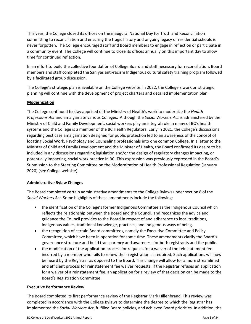This year, the College closed its offices on the inaugural National Day for Truth and Reconciliation committing to reconciliation and ensuring the tragic history and ongoing legacy of residential schools is never forgotten. The College encouraged staff and Board members to engage in reflection or participate in a community event. The College will continue to close its offices annually on this important day to allow time for continued reflection.

In an effort to build the collective foundation of College Board and staff necessary for reconciliation, Board members and staff completed the San'yas anti-racism Indigenous cultural safety training program followed by a facilitated group discussion.

The College's strategic plan is available on the College website. In 2022, the College's work on strategic planning will continue with the development of project charters and detailed implementation plan.

# **Modernization**

The College continued to stay apprised of the Ministry of Health's work to modernize the *Health Professions Act* and amalgamate various Colleges. Although the *Social Workers Act* is administered by the Ministry of Child and Family Development, social workers play an integral role in many of BC's health systems and the College is a member of the BC Health Regulators. Early in 2021, the College's discussions regarding best case amalgamation designed for public protection led to an awareness of the concept of locating Social Work, Psychology and Counseling professionals into one common College. In a letter to the Minister of Child and Family Development and the Minister of Health, the Board confirmed its desire to be included in any discussions regarding legislation and/or the design of regulatory changes impacting, or potentially impacting, social work practice in BC. This expression was previously expressed in the Board's Submission to the Steering Committee on the Modernization of Health Professional Regulation (January 2020) (see College website).

## **Administrative Bylaw Changes**

The Board completed certain administrative amendments to the College Bylaws under section 8 of the *Social Workers Act*. Some highlights of these amendments include the following:

- the identification of the College's former Indigenous Committee as the Indigenous Council which reflects the relationship between the Board and the Council, and recognizes the advice and guidance the Council provides to the Board in respect of and adherence to local traditions, Indigenous values, traditional knowledge, practices, and Indigenous ways of being.
- the recognition of certain Board committees, namely the Executive Committee and Policy Committee, which have been in operation for some time. These amendments clarify the Board's governance structure and build transparency and awareness for both registrants and the public.
- the modification of the application process for requests for a waiver of the reinstatement fee incurred by a member who fails to renew their registration as required. Such applications will now be heard by the Registrar as opposed to the Board. This change will allow for a more streamlined and efficient process for reinstatement fee waiver requests. If the Registrar refuses an application for a waiver of a reinstatement fee, an application for a review of that decision can be made to the Board's Registration Committee.

## **Executive Performance Review**

The Board completed its first performance review of the Registrar Mark Hillenbrand. This review was completed in accordance with the College Bylaws to determine the degree to which the Registrar has implemented the *Social Workers Act*, fulfilled Board policies, and achieved Board priorities. In addition, the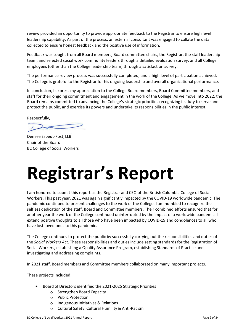review provided an opportunity to provide appropriate feedback to the Registrar to ensure high level leadership capability. As part of the process, an external consultant was engaged to collate the data collected to ensure honest feedback and the positive use of information.

Feedback was sought from all Board members, Board committee chairs, the Registrar, the staff leadership team, and selected social work community leaders through a detailed evaluation survey, and all College employees (other than the College leadership team) through a satisfaction survey.

The performance review process was successfully completed, and a high level of participation achieved. The College is grateful to the Registrar for his ongoing leadership and overall organizational performance.

In conclusion, I express my appreciation to the College Board members, Board Committee members, and staff for their ongoing commitment and engagement in the work of the College. As we move into 2022, the Board remains committed to advancing the College's strategic priorities recognizing its duty to serve and protect the public, and exercise its powers and undertake its responsibilities in the public interest.

Respectfully,

Denese Espeut-Post, LLB Chair of the Board BC College of Social Workers

# **Registrar's Report**

I am honored to submit this report as the Registrar and CEO of the British Columbia College of Social Workers. This past year, 2021 was again significantly impacted by the COVID-19 worldwide pandemic. The pandemic continued to present challenges to the work of the College. I am humbled to recognize the selfless dedication of the staff, Board and Committee members. Their combined efforts ensured that for another year the work of the College continued uninterrupted by the impact of a worldwide pandemic. I extend positive thoughts to all those who have been impacted by COVID-19 and condolences to all who have lost loved ones to this pandemic.

The College continues to protect the public by successfully carrying out the responsibilities and duties of the *Social Workers Act*. These responsibilities and duties include setting standards for the Registration of Social Workers, establishing a Quality Assurance Program, establishing Standards of Practice and investigating and addressing complaints.

In 2021 staff, Board members and Committee members collaborated on many important projects.

These projects included:

- Board of Directors identified the 2021-2025 Strategic Priorities
	- o Strengthen Board Capacity
	- o Public Protection
	- o Indigenous Initiatives & Relations
	- o Cultural Safety, Cultural Humility & Anti-Racism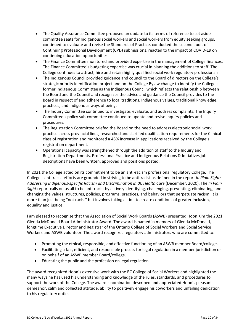- The Quality Assurance Committee proposed an update to its terms of reference to set aside committee seats for Indigenous social workers and social workers from equity seeking groups, continued to evaluate and revise the Standards of Practice, conducted the second audit of Continuing Professional Development (CPD) submissions, reacted to the impact of COVID-19 on continuing education opportunities.
- The Finance Committee monitored and provided expertise in the management of College finances. The Finance Committee's budgeting expertise was crucial in planning the additions to staff. The College continues to attract, hire and retain highly qualified social work regulatory professionals.
- The Indigenous Council provided guidance and council to the Board of directors on the College's strategic priority identification project and on the College Bylaw change to identify the College's former Indigenous Committee as the Indigenous Council which reflects the relationship between the Board and the Council and recognizes the advice and guidance the Council provides to the Board in respect of and adherence to local traditions, Indigenous values, traditional knowledge, practices, and Indigenous ways of being.
- The Inquiry Committee continued to investigate, evaluate, and address complaints. The Inquiry Committee's policy sub-committee continued to update and revise Inquiry policies and procedures.
- The Registration Committee briefed the Board on the need to address electronic social work practice across provincial lines, researched and clarified qualification requirements for the Clinical class of registration and monitored a 48% increase in applications received by the College's registration department.
- Operational capacity was strengthened through the addition of staff to the Inquiry and Registration Departments. Professional Practice and Indigenous Relations & Initiatives job descriptions have been written, approved and positions posted.

In 2021 the College acted on its commitment to be an anti-racism professional regulatory College. The College's anti-racist efforts are grounded in striving to be anti-racist as defined in the report *In Plain Sight: Addressing Indigenous-specific Racism and Discrimination in BC Health Care* (December, 2020). The *In Plain Sight* report calls on us all to be anti-racist by actively identifying, challenging, preventing, eliminating, and changing the values, structures, policies, programs, practices, and behaviors that perpetuate racism. It is more than just being "not racist" but involves taking action to create conditions of greater inclusion, equality and justice.

I am pleased to recognize that the Association of Social Work Boards (ASWB) presented Hoon Kim the 2021 Glenda McDonald Board Administrator Award. The award is named in memory of Glenda McDonald, longtime Executive Director and Registrar of the Ontario College of Social Workers and Social Service Workers and ASWB volunteer. The award recognizes regulatory administrators who are committed to:

- Promoting the ethical, responsible, and effective functioning of an ASWB member Board/college.
- Facilitating a fair, efficient, and responsible process for legal regulation in a member jurisdiction or on behalf of an ASWB member Board/college.
- Educating the public and the profession on legal regulation.

The award recognized Hoon's extensive work with the BC College of Social Workers and highlighted the many ways he has used his understanding and knowledge of the rules, standards, and procedures to support the work of the College. The award's nomination described and appreciated Hoon's pleasant demeanor, calm and collected attitude, ability to positively engage his coworkers and unfailing dedication to his regulatory duties.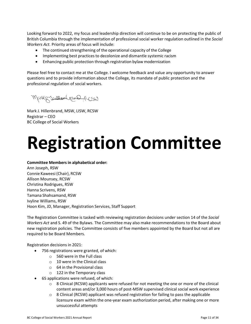Looking forward to 2022, my focus and leadership direction will continue to be on protecting the public of British Columbia through the implementation of professional social worker regulation outlined in the *Social Workers Act*. Priority areas of focus will include:

- The continued strengthening of the operational capacity of the College
- Implementing best practices to decolonize and dismantle systemic racism
- Enhancing public protection through registration bylaw modernization

Please feel free to contact me at the College. I welcome feedback and value any opportunity to answer questions and to provide information about the College, its mandate of public protection and the professional regulation of social workers.

Mary Brondenburgh

Mark J. Hillenbrand, MSW, LISW, RCSW Registrar – CEO BC College of Social Workers

# **Registration Committee**

### **Committee Members in alphabetical order:**

Ann Joseph, RSW Connie Kaweesi (Chair), RCSW Allison Mounsey, RCSW Christina Rodrigues, RSW Hanna Scrivens, RSW Tamana Shahsamand, RSW Ivyline Williams, RSW Hoon Kim, JD, Manager, Registration Services, Staff Support

The Registration Committee is tasked with reviewing registration decisions under section 14 of the *Social Workers Act* and S. 49 of the Bylaws. The Committee may also make recommendations to the Board about new registration policies. The Committee consists of five members appointed by the Board but not all are required to be Board Members.

### Registration decisions in 2021:

- 756 registrations were granted, of which:
	- o 560 were in the Full class
	- $\circ$  10 were in the Clinical class
	- o 64 in the Provisional class
	- o 122 in the Temporary class
- 65 applications were refused, of which:
	- $\circ$  8 Clinical (RCSW) applicants were refused for not meeting the one or more of the clinical content areas and/or 3,000 hours of post-MSW supervised clinical social work experience
	- $\circ$  8 Clinical (RCSW) applicant was refused registration for failing to pass the applicable licensure exam within the one-year exam authorization period, after making one or more unsuccessful attempts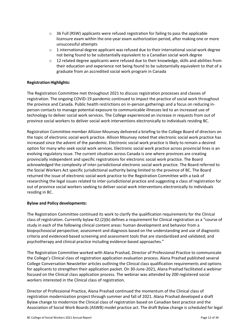- $\circ$  36 Full (RSW) applicants were refused registration for failing to pass the applicable licensure exam within the one-year exam authorization period, after making one or more unsuccessful attempts
- $\circ$  1 international degree applicant was refused due to their international social work degree not being found to be substantially equivalent to a Canadian social work degree
- $\circ$  12 related degree applicants were refused due to their knowledge, skills and abilities from their education and experience not being found to be substantially equivalent to that of a graduate from an accredited social work program in Canada

### **Registration Highlights:**

The Registration Committee met throughout 2021 to discuss registration processes and classes of registration. The ongoing COVID-19 pandemic continued to impact the practice of social work throughout the province and Canada. Public health restrictions on in-person gatherings and a focus on reducing inperson contacts to manage potential exposure to communicable illnesses led to an increased use of technology to deliver social work services. The College experienced an increase in requests from out of province social workers to deliver social work interventions electronically to individuals residing BC.

Registration Committee member Allision Mounsey delivered a briefing to the College Board of directors on the topic of electronic social work practice. Allison Mounsey noted that electronic social work practice has increased since the advent of the pandemic. Electronic social work practice is likely to remain a desired option for many who seek social work services. Electronic social work practice across provincial lines is an evolving regulatory issue. The current situation across Canada is one where provinces are creating provincially independent and specific registrations for electronic social work practice. The Board acknowledged the complexity of inter-jurisdictional electronic social work practice. The Board referred to the Social Workers Act specific jurisdictional authority being limited to the province of BC. The Board returned the issue of electronic social work practice to the Registration Committee with a task of researching the legal issues related to inter-jurisdictional practice and suggesting a class of registration for out of province social workers seeking to deliver social work interventions electronically to individuals residing in BC.

### **Bylaw and Policy developments:**

The Registration Committee continued its work to clarify the qualification requirements for the Clinical class of registration. Currently bylaw 42.(2)(b) defines a requirement for Clinical registration as a "course of study in each of the following clinical content areas: human development and behavior from a biopsychosocial perspective; assessment and diagnosis based on the understanding and use of diagnostic criteria and evidenced-based screening and assessment tools that are standardized and validated; and psychotherapy and clinical practice including evidence-based approaches."

The Registration Committee worked with Alana Prashad, Director of Professional Practice to communicate the College's Clinical class of registration application evaluation process. Alana Prashad published several College Conversation Newsletter articles outlining the Clinical class qualification requirements and options for applicants to strengthen their application packet. On 30-June-2021, Alana Prashad facilitated a webinar focused on the Clinical class application process. The webinar was attended by 200 registered social workers interested in the Clinical class of registration.

Director of Professional Practice, Alana Prashad continued the momentum of the Clinical class of registration modernization project through summer and fall of 2021. Alana Prashad developed a draft Bylaw change to modernize the Clinical class of registration based on Canadian best practice and the Association of Social Work Boards (ASWB) model practice act. The draft Bylaw change is scheduled for legal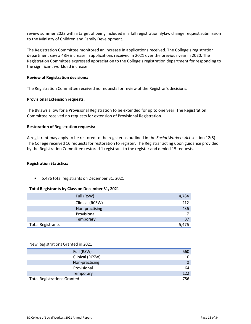review summer 2022 with a target of being included in a fall registration Bylaw change request submission to the Ministry of Children and Family Development.

The Registration Committee monitored an increase in applications received. The College's registration department saw a 48% increase in applications received in 2021 over the previous year in 2020. The Registration Committee expressed appreciation to the College's registration department for responding to the significant workload increase.

### **Review of Registration decisions:**

The Registration Committee received no requests for review of the Registrar's decisions.

#### **Provisional Extension requests:**

The Bylaws allow for a Provisional Registration to be extended for up to one year. The Registration Committee received no requests for extension of Provisional Registration.

#### **Restoration of Registration requests:**

A registrant may apply to be restored to the register as outlined in the *Social Workers Act* section 12(5). The College received 16 requests for restoration to register. The Registrar acting upon guidance provided by the Registration Committee restored 1 registrant to the register and denied 15 requests.

#### **Registration Statistics:**

• 5,476 total registrants on December 31, 2021

### **Total Registrants by Class on December 31, 2021**

|                          | Full (RSW)      | 4,784 |
|--------------------------|-----------------|-------|
|                          | Clinical (RCSW) | 212   |
|                          | Non-practising  | 436   |
|                          | Provisional     |       |
|                          | Temporary       | 37    |
| <b>Total Registrants</b> |                 | 5,476 |

#### New Registrations Granted in 2021

| Full (RSW)                         | 560 |
|------------------------------------|-----|
| Clinical (RCSW)                    | 10  |
| Non-practising                     | 0   |
| Provisional                        | 64  |
| Temporary                          | 122 |
| <b>Total Registrations Granted</b> | 756 |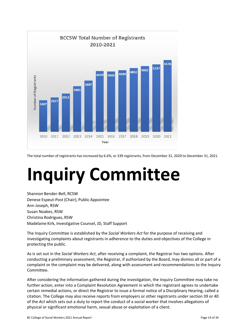

The total number of registrants has increased by 6.6%, or 339 registrants, from December 31, 2020 to December 31, 2021.

# **Inquiry Committee**

Shannon Bender-Bell, RCSW Denese Espeut-Post (Chair), Public Appointee Ann Joseph, RSW Susan Noakes, RSW Christina Rodrigues, RSW Madelaine Kirk, Investigative Counsel, JD, Staff Support

The Inquiry Committee is established by the *Social Workers Act* for the purpose of receiving and investigating complaints about registrants in adherence to the duties and objectives of the College in protecting the public.

As is set out in the *Social Workers Act*, after receiving a complaint, the Registrar has two options. After conducting a preliminary assessment, the Registrar, if authorized by the Board, may dismiss all or part of a complaint or the complaint may be delivered, along with assessment and recommendations to the Inquiry Committee.

After considering the information gathered during the investigation, the Inquiry Committee may take no further action, enter into a Complaint Resolution Agreement in which the registrant agrees to undertake certain remedial actions, or direct the Registrar to issue a formal notice of a Disciplinary Hearing, called a citation. The College may also receive reports from employers or other registrants under section 39 or 40 of the *Act* which sets out a duty to report the conduct of a social worker that involves allegations of physical or significant emotional harm, sexual abuse or exploitation of a client.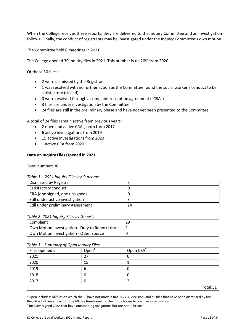When the College receives these reports, they are delivered to the Inquiry Committee and an investigation follows. Finally, the conduct of registrants may be investigated under the Inquiry Committee's own motion.

The Committee held 8 meetings in 2021.

The College opened 30 inquiry files in 2021. This number is up 20% from 2020.

Of these 30 files:

- 2 were dismissed by the Registrar
- 1 was resolved with no further action as the Committee found the social worker's conduct to be satisfactory (closed)
- 0 were resolved through a complaint resolution agreement ("CRA")
- 3 files are under investigation by the Committee
- 24 files are still in the preliminary phase and have not yet been presented to the Committee

A total of 24 files remain active from previous years:

- 2 open and active CRAs, both from 2017
- 6 active investigations from 2019
- 15 active investigations from 2020
- 1 active CRA from 2020

### **Data on Inquiry Files Opened in 2021**

Total number: 30

#### *Table 1 – 2021 Inquiry Files by Outcome*

| Dismissed by Registrar             |    |
|------------------------------------|----|
| Satisfactory conduct               |    |
| CRA (one signed, one unsigned)     |    |
| Still under active investigation   |    |
| Still under preliminary Assessment | 24 |

#### *Table 2- 2021 Inquiry Files by Genesis*

| Complaint                                        | 29 |
|--------------------------------------------------|----|
| Own Motion Investigation - Duty to Report Letter |    |
| Own Motion Investigation - Other source          |    |

#### *Table 3 – Summary of Open Inquiry Files*

| .<br>Files opened in | Open <sup>1</sup> | Open CRA <sup>2</sup> |
|----------------------|-------------------|-----------------------|
| 2021                 | 27                |                       |
| 2020                 | 15                |                       |
| 2019                 | 6                 | υ                     |
| 2018                 | 0                 |                       |
| 2017                 | 0                 |                       |
|                      |                   | Total:51              |

4Open includes: All files on which the IC have not made a final s.27(4) decision, and all files that have been dismissed by the Registrar but are still within the 60 day timeframe for the IC to choose to open an investigation <sup>5</sup> Includes signed CRAs that have outstanding obligations but are not in breach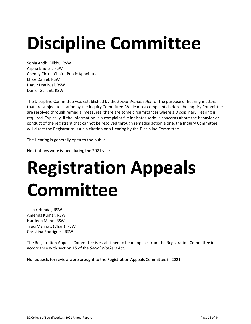# **Discipline Committee**

Sonia Andhi Bilkhu, RSW Arpna Bhullar, RSW Cheney Cloke (Chair), Public Appointee Ellice Daniel, RSW Harvir Dhaliwal, RSW Daniel Gallant, RSW

The Discipline Committee was established by the *Social Workers Act* for the purpose of hearing matters that are subject to citation by the Inquiry Committee. While most complaints before the Inquiry Committee are resolved through remedial measures, there are some circumstances where a Disciplinary Hearing is required. Typically, if the information in a complaint file indicates serious concerns about the behavior or conduct of the registrant that cannot be resolved through remedial action alone, the Inquiry Committee will direct the Registrar to issue a citation or a Hearing by the Discipline Committee.

The Hearing is generally open to the public.

No citations were issued during the 2021 year.

# **Registration Appeals Committee**

Jasbir Hundal, RSW Amenda Kumar, RSW Hardeep Mann, RSW Traci Marriott(Chair), RSW Christina Rodrigues, RSW

The Registration Appeals Committee is established to hear appeals from the Registration Committee in accordance with section 15 of the *Social Workers Act*.

No requests for review were brought to the Registration Appeals Committee in 2021.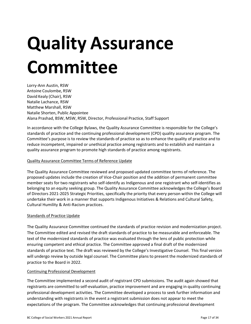# **Quality Assurance Committee**

Lorry-Ann Austin, RSW Antoine Coulombe, RSW David Kealy (Chair), RSW Natalie Lachance, RSW Matthew Marshall, RSW Natalie Shorten, Public Appointee Alana Prashad, BSW, MSW, RSW, Director, Professional Practice, Staff Support

In accordance with the College Bylaws, the Quality Assurance Committee is responsible for the College's standards of practice and the continuing professional development (CPD) quality assurance program. The Committee's purpose is to review the standards of practice so as to enhance the quality of practice and to reduce incompetent, impaired or unethical practice among registrants and to establish and maintain a quality assurance program to promote high standards of practice among registrants.

## Quality Assurance Committee Terms of Reference Update

The Quality Assurance Committee reviewed and proposed updated committee terms of reference. The proposed updates include the creation of Vice-Chair position and the addition of permanent committee member seats for two registrants who self-identify as Indigenous and one registrant who self-identifies as belonging to an equity seeking group. The Quality Assurance Committee acknowledges the College's Board of Directors 2021-2025 Strategic Priorities, specifically the priority that every person within the College will undertake their work in a manner that supports Indigenous Initiatives & Relations and Cultural Safety, Cultural Humility & Anti-Racism practices.

## Standards of Practice Update

The Quality Assurance Committee continued the standards of practice revision and modernization project. The Committee edited and revised the draft standards of practice to be measurable and enforceable. The text of the modernized standards of practice was evaluated through the lens of public protection while ensuring competent and ethical practice. The Committee approved a final draft of the modernized standards of practice text. The draft was reviewed by the College's Investigative Counsel. This final version will undergo review by outside legal counsel. The Committee plans to present the modernized standards of practice to the Board in 2022.

## Continuing Professional Development

The Committee implemented a second audit of registrant CPD submissions. The audit again showed that registrants are committed to self-evaluation, practice improvement and are engaging in quality continuing professional development activities. The Committee developed a process to seek further information and understanding with registrants in the event a registrant submission does not appear to meet the expectations of the program. The Committee acknowledges that continuing professional development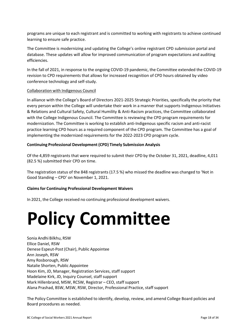programs are unique to each registrant and is committed to working with registrants to achieve continued learning to ensure safe practice.

The Committee is modernizing and updating the College's online registrant CPD submission portal and database. These updates will allow for improved communication of program expectations and auditing efficiencies.

In the fall of 2021, in response to the ongoing COVID-19 pandemic, the Committee extended the COVID-19 revision to CPD requirements that allows for increased recognition of CPD hours obtained by video conference technology and self-study.

### Collaboration with Indigenous Council

In alliance with the College's Board of Directors 2021-2025 Strategic Priorities, specifically the priority that every person within the College will undertake their work in a manner that supports Indigenous Initiatives & Relations and Cultural Safety, Cultural Humility & Anti-Racism practices, the Committee collaborated with the College Indigenous Council. The Committee is reviewing the CPD program requirements for modernization. The Committee is working to establish anti-Indigenous specific racism and anti-racist practice learning CPD hours as a required component of the CPD program. The Committee has a goal of implementing the modernized requirements for the 2022-2023 CPD program cycle.

## **Continuing Professional Development (CPD) Timely Submission Analysis**

Of the 4,859 registrants that were required to submit their CPD by the October 31, 2021, deadline, 4,011 (82.5 %) submitted their CPD on time.

The registration status of the 848 registrants (17.5 %) who missed the deadline was changed to 'Not in Good Standing – CPD' on November 1, 2021.

## **Claims for Continuing Professional Development Waivers**

In 2021, the College received no continuing professional development waivers.

# **Policy Committee**

Sonia Andhi Bilkhu, RSW Ellice Daniel, RSW Denese Espeut-Post (Chair), Public Appointee Ann Joseph, RSW Amy Rosborough, RSW Natalie Shorten, Public Appointee Hoon Kim, JD, Manager, Registration Services, staff support Madelaine Kirk, JD, Inquiry Counsel, staff support Mark Hillenbrand, MSW, RCSW, Registrar - CEO, staff support Alana Prashad, BSW, MSW, RSW, Director, Professional Practice, staff support

The Policy Committee is established to identify, develop, review, and amend College Board policies and Board procedures as needed.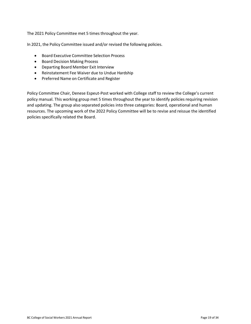The 2021 Policy Committee met 5 times throughout the year.

In 2021, the Policy Committee issued and/or revised the following policies.

- Board Executive Committee Selection Process
- Board Decision Making Process
- Departing Board Member Exit Interview
- Reinstatement Fee Waiver due to Undue Hardship
- Preferred Name on Certificate and Register

Policy Committee Chair, Denese Espeut-Post worked with College staff to review the College's current policy manual. This working group met 5 times throughout the year to identify policies requiring revision and updating. The group also separated policies into three categories: Board, operational and human resources. The upcoming work of the 2022 Policy Committee will be to revise and reissue the identified policies specifically related the Board.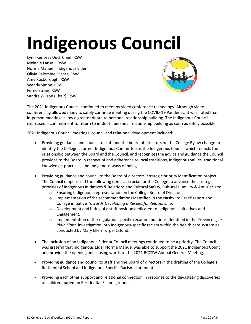# **Indigenous Council**

Lynn Kenoras Duck Chief, RSW Melanie Lansall, RSW Norma Manuel, Indigenous Elder Olivia Palomino Meraz, RSW Amy Rosborough, RSW Wendy Simon, RSW Ferne Strain, RSW Sandra Wilson (Chair), RSW



The 2021 Indigenous Council continued to meet by video conference technology. Although video conferencing allowed many to safely continue meeting during the COVID-19 Pandemic, it was noted that in-person meetings allow a greater depth to personal relationship building. The Indigenous Council expressed a commitment to return to in-depth personal relationship building as soon as safely possible.

2021 Indigenous Council meetings, council and relational development included:

- Providing guidance and council to staff and the board of directors on the College Bylaw change to identify the College's former Indigenous Committee as the Indigenous Council which reflects the relationship between the Board and the Council, and recognizesthe advice and guidance the Council provides to the Board in respect of and adherence to local traditions, Indigenous values, traditional knowledge, practices, and Indigenous ways of being.
- Providing guidance and council to the Board of directors' strategic priority identification project. The Council emphasized the following items as crucial for the College to advance the strategic priorities of Indigenous Initiatives & Relations and Cultural Safety, Cultural Humility & Anti-Racism:
	- o Ensuring Indigenous representation on the College Board of Directors.
	- $\circ$  Implementation of the recommendations identified in the Nashwito Creek report and College initiative *Towards Developing a Respectful Relationship*.
	- $\circ$  Development and hiring of a staff position dedicated to Indigenous Initiatives and Engagement.
	- o Implementation of the regulation specific recommendations identified in the Province's, *In Plain Sight,* investigation into Indigenous-specific racism within the health care system as conducted by Mary Ellen Turpel Lafond.
- The inclusion of an Indigenous Elder at Council meetings continued to be a priority. The Council was grateful that Indigenous Elder Norma Manuel was able to support the 2021 Indigenous Council and provide the opening and closing words to the 2021 BCCSW Annual General Meeting.
- Providing guidance and council to staff and the Board of directors in the drafting of the College's Residential School and Indigenous-Specific Racism statement.
- Providing each other support and relational connection in response to the devastating discoveries of children buried on Residential School grounds.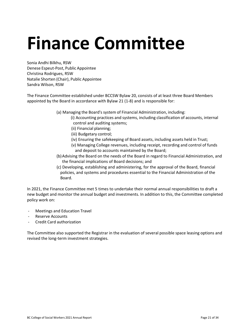# **Finance Committee**

Sonia Andhi Bilkhu, RSW Denese Espeut-Post, Public Appointee Christina Rodrigues, RSW Natalie Shorten (Chair), Public Appointee Sandra Wilson, RSW

The Finance Committee established under BCCSW Bylaw 20, consists of at least three Board Members appointed by the Board in accordance with Bylaw 21 (1-8) and is responsible for:

- (a) Managing the Board's system of Financial Administration, including:
	- (i) Accounting practices and systems, including classification of accounts, internal control and auditing systems;
	- (ii) Financial planning;
	- (iii) Budgetary control;
	- (iv) Ensuring the safekeeping of Board assets, including assets held in Trust;
	- (v) Managing College revenues, including receipt, recording and control of funds and deposit to accounts maintained by the Board;
- (b)Advising the Board on the needs of the Board in regard to Financial Administration, and the financial implications of Board decisions; and
- (c) Developing, establishing and administering, for the approval of the Board, financial policies, and systems and procedures essential to the Financial Administration of the Board.

In 2021, the Finance Committee met 5 times to undertake their normal annual responsibilities to draft a new budget and monitor the annual budget and investments. In addition to this, the Committee completed policy work on:

- Meetings and Education Travel
- Reserve Accounts
- Credit Card authorization

The Committee also supported the Registrar in the evaluation of several possible space leasing options and revised the long-term investment strategies.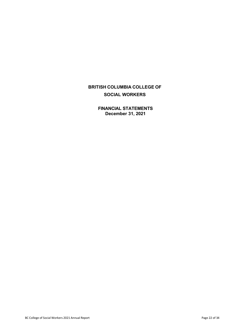**FINANCIAL STATEMENTS December 31, 2021**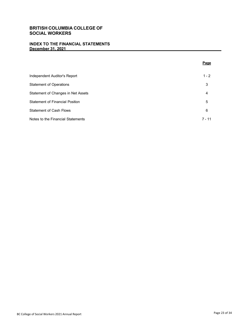## **INDEX TO THE FINANCIAL STATEMENTS December 31, 2021**

|                                        | Page     |
|----------------------------------------|----------|
| Independent Auditor's Report           | $1 - 2$  |
| <b>Statement of Operations</b>         | 3        |
| Statement of Changes in Net Assets     | 4        |
| <b>Statement of Financial Position</b> | 5        |
| <b>Statement of Cash Flows</b>         | 6        |
| Notes to the Financial Statements      | $7 - 11$ |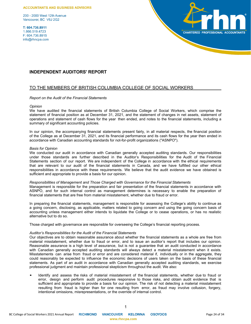#### **ACCOUNTANTS AND BUSINESS ADVISORS**

200 - 2000 West 12th Avenue Vancouver, BC V6J 2G2

T: 604.736.8911 1.866.519.4723 F: 604.736.8915 info@rhncpa.com



### **INDEPENDENT AUDITORS' REPORT**

### TO THE MEMBERS OF BRITISH COLUMBIA COLLEGE OF SOCIAL WORKERS

#### *Report on the Audit of the Financial Statements*

#### *Opinion*

We have audited the financial statements of British Columbia College of Social Workers, which comprise the statement of financial position as at December 31, 2021, and the statement of changes in net assets, statement of operations and statement of cash flows for the year then ended, and notes to the financial statements, including a summary of significant accounting policies.

In our opinion, the accompanying financial statements present fairly, in all material respects, the financial position of the College as at December 31, 2021, and its financial performance and its cash flows for the year then ended in accordance with Canadian accounting standards for not-for-profit organizations ("ASNPO").

#### *Basis for Opinion*

We conducted our audit in accordance with Canadian generally accepted auditing standards. Our responsibilities under those standards are further described in the Auditor's Responsibilities for the Audit of the Financial Statements section of our report. We are independent of the College in accordance with the ethical requirements that are relevant to our audit of the financial statements in Canada, and we have fulfilled our other ethical responsibilities in accordance with these requirements. We believe that the audit evidence we have obtained is sufficient and appropriate to provide a basis for our opinion.

#### *Responsibilities of Management and Those Charged with Governance for the Financial Statements*

Management is responsible for the preparation and fair presentation of the financial statements in accordance with ASNPO, and for such internal control as management determines is necessary to enable the preparation of financial statements that are free from material misstatement, whether due to fraud or error.

In preparing the financial statements, management is responsible for assessing the College's ability to continue as a going concern, disclosing, as applicable, matters related to going concern and using the going concern basis of accounting unless management either intends to liquidate the College or to cease operations, or has no realistic alternative but to do so.

Those charged with governance are responsible for overseeing the College's financial reporting process.

#### *Auditor's Responsibilities for the Audit of the Financial Statements*

Our objectives are to obtain reasonable assurance about whether the financial statements as a whole are free from material misstatement, whether due to fraud or error, and to issue an auditor's report that includes our opinion. Reasonable assurance is a high level of assurance, but is not a guarantee that an audit conducted in accordance with Canadian generally accepted auditing standards will always detect a material misstatement when it exists. Misstatements can arise from fraud or error and are considered material if, individually or in the aggregate, they could reasonably be expected to influence the economic decisions of users taken on the basis of these financial statements. As part of an audit in accordance with Canadian generally accepted auditing standards, we exercise professional judgment and maintain professional skepticism throughout the audit. We also:

 Identify and assess the risks of material misstatement of the financial statements, whether due to fraud or error, design and perform audit procedures responsive to those risks, and obtain audit evidence that is sufficient and appropriate to provide a basis for our opinion. The risk of not detecting a material misstatement resulting from fraud is higher than for one resulting from error, as fraud may involve collusion, forgery, intentional omissions, misrepresentations, or the override of internal control.

1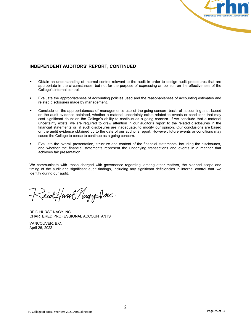

# **INDEPENDENT AUDITORS' REPORT, CONTINUED**

- Obtain an understanding of internal control relevant to the audit in order to design audit procedures that are appropriate in the circumstances, but not for the purpose of expressing an opinion on the effectiveness of the College's internal control.
- Evaluate the appropriateness of accounting policies used and the reasonableness of accounting estimates and related disclosures made by management.
- Conclude on the appropriateness of management's use of the going concern basis of accounting and, based on the audit evidence obtained, whether a material uncertainty exists related to events or conditions that may cast significant doubt on the College's ability to continue as a going concern. If we conclude that a material uncertainty exists, we are required to draw attention in our auditor's report to the related disclosures in the financial statements or, if such disclosures are inadequate, to modify our opinion. Our conclusions are based on the audit evidence obtained up to the date of our auditor's report. However, future events or conditions may cause the College to cease to continue as a going concern.
- Evaluate the overall presentation, structure and content of the financial statements, including the disclosures, and whether the financial statements represent the underlying transactions and events in a manner that achieves fair presentation.

We communicate with those charged with governance regarding, among other matters, the planned scope and timing of the audit and significant audit findings, including any significant deficiencies in internal control that we identify during our audit.

Zeickfurst Nagy Inc.

REID HURST NAGY INC. CHARTERED PROFESSIONAL ACCOUNTANTS

VANCOUVER, B.C. April 26, 2022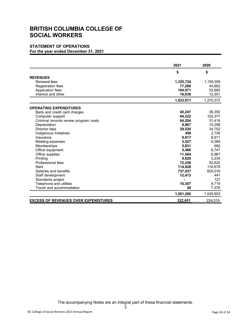# **STATEMENT OF OPERATIONS**

**For the year ended December 31, 2021**

|                                             | 2021      | 2020      |
|---------------------------------------------|-----------|-----------|
|                                             | \$        | \$        |
| <b>REVENUES</b>                             |           |           |
| Renewal fees                                | 1,325,724 | 1,159,309 |
| <b>Registration fees</b>                    | 77,280    | 44,882    |
| Application fees                            | 104,071   | 53,880    |
| Interest and other                          | 16,836    | 12,301    |
|                                             | 1,523,911 | 1,270,372 |
| <b>OPERATING EXPENDITURES</b>               |           |           |
| Bank and credit card charges                | 40,247    | 36,350    |
| Computer support                            | 64,222    | 102,377   |
| Criminal records review program costs       | 64,204    | 31,416    |
| Depreciation                                | 9,867     | 10,298    |
| Director fees                               | 29,520    | 34,752    |
| Indigenous Initiatives                      | 458       | 2,736     |
| Insurance                                   | 9,817     | 8,911     |
| Meeting expenses                            | 3,527     | 9,386     |
| Memberships                                 | 5,831     | 682       |
| Office equipment                            | 5.488     | 6,747     |
| Office supplies                             | 11,584    | 6,987     |
| Printing                                    | 9,628     | 3,234     |
| Professional fees                           | 72,256    | 52,625    |
| Rent                                        | 114,828   | 116,679   |
| Salaries and benefits                       | 737,037   | 605,016   |
| Staff development                           | 12,413    | 441       |
| Standards project                           |           | 121       |
| Telephone and utilities                     | 10,307    | 9,719     |
| Travel and accommodation                    | 26        | 7,376     |
|                                             | 1,201,260 | 1,045,853 |
| <b>EXCESS OF REVENUES OVER EXPENDITURES</b> | 322,651   | 224,519   |

The accompanying Notes are an integral part of these financial statements.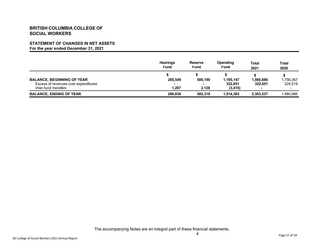# **STATEMENT OF CHANGES IN NET ASSETS**

**For the year ended December 31, 2021**

|                                      | <b>Hearings</b><br><b>Fund</b> | <b>Reserve</b><br><b>Fund</b> | Operating<br><b>Fund</b> | Total<br>2021            | <b>Total</b><br>2020 |
|--------------------------------------|--------------------------------|-------------------------------|--------------------------|--------------------------|----------------------|
|                                      |                                |                               |                          |                          |                      |
| <b>BALANCE, BEGINNING OF YEAR</b>    | 285,549                        | 500,190                       | 1,195,147                | 1,980,886                | .756,367             |
| Excess of revenues over expenditures |                                | $\overline{\phantom{a}}$      | 322.651                  | 322.651                  | 224,519              |
| Inter-fund transfers                 | 1.287                          | 2.128                         | (3, 415)                 | $\overline{\phantom{a}}$ | $\,$ – $\,$          |
| <b>BALANCE, ENDING OF YEAR</b>       | 286.836                        | 502.318                       | 1.514.383                | 2,303,537                | 1.980.886            |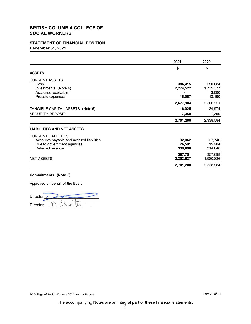# **STATEMENT OF FINANCIAL POSITION December 31, 2021**

|                                          | 2021      | 2020      |
|------------------------------------------|-----------|-----------|
|                                          | \$        | \$        |
| <b>ASSETS</b>                            |           |           |
| <b>CURRENT ASSETS</b>                    |           |           |
| Cash                                     | 386,415   | 550,684   |
| Investments (Note 4)                     | 2,274,522 | 1,739,377 |
| Accounts receivable                      |           | 3,000     |
| Prepaid expenses                         | 16,967    | 13,190    |
|                                          | 2,677,904 | 2,306,251 |
| TANGIBLE CAPITAL ASSETS (Note 5)         | 16,025    | 24,974    |
| <b>SECURITY DEPOSIT</b>                  | 7,359     | 7,359     |
|                                          | 2,701,288 | 2,338,584 |
| <b>LIABILITIES AND NET ASSETS</b>        |           |           |
| <b>CURRENT LIABILITIES</b>               |           |           |
| Accounts payable and accrued liabilities | 32,062    | 27,746    |
| Due to government agencies               | 26,591    | 15,904    |
| Deferred revenue                         | 339,098   | 314,048   |
|                                          | 397,751   | 357,698   |
| <b>NET ASSETS</b>                        | 2,303,537 | 1,980,886 |
|                                          | 2,701,288 | 2,338,584 |

### **Commitments (Note 6)**

Approved on behalf of the Board

Director<sub></sub> **Director** horter  $\cup$ 

The accompanying Notes are an integral part of these financial statements.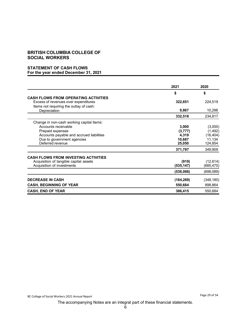### **STATEMENT OF CASH FLOWS For the year ended December 31, 2021**

|                                                                                                                                                                                    | 2021                                           | 2020                                                  |
|------------------------------------------------------------------------------------------------------------------------------------------------------------------------------------|------------------------------------------------|-------------------------------------------------------|
|                                                                                                                                                                                    | \$                                             | \$                                                    |
| <b>CASH FLOWS FROM OPERATING ACTIVITIES</b><br>Excess of revenues over expenditures<br>Items not requiring the outlay of cash:                                                     | 322,651                                        | 224,519                                               |
| Depreciation                                                                                                                                                                       | 9,867                                          | 10,298                                                |
|                                                                                                                                                                                    | 332,518                                        | 234,817                                               |
| Change in non-cash working capital items:<br>Accounts receivable<br>Prepaid expenses<br>Accounts payable and accrued liabilities<br>Due to government agencies<br>Deferred revenue | 3,000<br>(3, 777)<br>4,319<br>10,687<br>25,050 | (3,000)<br>(1, 492)<br>(16, 404)<br>11,134<br>124,854 |
|                                                                                                                                                                                    | 371,797                                        | 349,909                                               |
| <b>CASH FLOWS FROM INVESTING ACTIVITIES</b><br>Acquisition of tangible capital assets<br>Acquisition of investments                                                                | (919)<br>(535, 147)                            | (12, 614)<br>(685,475)                                |
|                                                                                                                                                                                    | (536,066)                                      | (698,089)                                             |
| <b>DECREASE IN CASH</b><br><b>CASH, BEGINNING OF YEAR</b>                                                                                                                          | (164, 269)<br>550,684                          | (348, 180)<br>898,864                                 |
| <b>CASH, END OF YEAR</b>                                                                                                                                                           | 386,415                                        | 550,684                                               |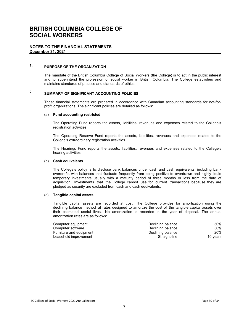#### **NOTES TO THE FINANCIAL STATEMENTS December 31, 2021**

# **1. PURPOSE OF THE ORGANIZATION**

The mandate of the British Columbia College of Social Workers (the College) is to act in the public interest and to superintend the profession of social worker in British Columbia. The College establishes and maintains standards of practice and standards of ethics.

# **2. SUMMARY OF SIGNIFICANT ACCOUNTING POLICIES**

These financial statements are prepared in accordance with Canadian accounting standards for not-forprofit organizations. The significant policies are detailed as follows:

#### (a) **Fund accounting restricted**

The Operating Fund reports the assets, liabilities, revenues and expenses related to the College's registration activities.

The Operating Reserve Fund reports the assets, liabilities, revenues and expenses related to the College's extraordinary registration activities.

The Hearings Fund reports the assets, liabilities, revenues and expenses related to the College's hearing activities.

#### (b) **Cash equivalents**

The College's policy is to disclose bank balances under cash and cash equivalents, including bank overdrafts with balances that fluctuate frequently from being positive to overdrawn and highly liquid temporary investments usually with a maturity period of three months or less from the date of acquisition. Investments that the College cannot use for current transactions because they are pledged as security are excluded from cash and cash equivalents.

#### (c) **Tangible capital assets**

Tangible capital assets are recorded at cost. The College provides for amortization using the declining balance method at rates designed to amortize the cost of the tangible capital assets over their estimated useful lives. No amortization is recorded in the year of disposal. The annual amortization rates are as follows:

| Declining balance | 50%      |
|-------------------|----------|
| Declining balance | 50%      |
| Declining balance | 20%      |
| Straight-line     | 10 vears |
|                   |          |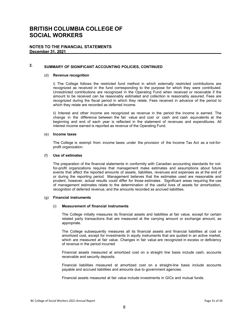#### **NOTES TO THE FINANCIAL STATEMENTS December 31, 2021**

# **2. SUMMARY OF SIGNIFICANT ACCOUNTING POLICIES, CONTINUED**

#### (d) **Revenue recognition**

i) The College follows the restricted fund method in which externally restricted contributions are recognized as received in the fund corresponding to the purpose for which they were contributed. Unrestricted contributions are recognized in the Operating Fund when received or receivable if the amount to be received can be reasonably estimated and collection is reasonably assured. Fees are recognized during the fiscal period in which they relate. Fees received in advance of the period to which they relate are recorded as deferred income.

ii) Interest and other income are recognized as revenue in the period the income is earned. The change in the difference between the fair value and cost or cash and cash equivalents at the beginning and end of each year is reflected in the statement of revenues and expenditures. All interest income earned is reported as revenue of the Operating Fund.

#### (e) **Income taxes**

The College is exempt from income taxes under the provision of the Income Tax Act as a not-forprofit organization.

#### (f) **Use of estimates**

The preparation of the financial statements in conformity with Canadian accounting standards for notfor-profit organizations requires that management make estimates and assumptions about future events that affect the reported amounts of assets, liabilities, revenues and expenses as at the end of or during the reporting period. Management believes that the estimates used are reasonable and prudent, however, actual results could differ for those estimates. Significant areas requiring the use of management estimates relate to the determination of the useful lives of assets for amortization, recognition of deferred revenue, and the amounts recorded as accrued liabilities.

#### (g) **Financial instruments**

#### (i) **Measurement of financial instruments**

The College initially measures its financial assets and liabilities at fair value, except for certain related party transactions that are measured at the carrying amount or exchange amount, as appropriate.

The College subsequently measures all its financial assets and financial liabilities at cost or amortized cost, except for investments in equity instruments that are quoted in an active market, which are measured at fair value. Changes in fair value are recognized in excess or deficiency of revenue in the period incurred

Financial assets measured at amortized cost on a straight line basis include cash, accounts receivable and security deposits.

Financial liabilities measured at amortized cost on a straight-line basis include accounts payable and accrued liabilities and amounts due to government agencies.

Financial assets measured at fair value include investments in GICs and mutual funds.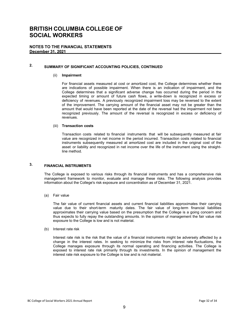#### **NOTES TO THE FINANCIAL STATEMENTS December 31, 2021**

# **2. SUMMARY OF SIGNIFICANT ACCOUNTING POLICIES, CONTINUED**

#### (ii) **Impairment**

For financial assets measured at cost or amortized cost, the College determines whether there are indications of possible impairment. When there is an indication of impairment, and the College determines that a significant adverse change has occurred during the period in the expected timing or amount of future cash flows, a write-down is recognized in excess or deficiency of revenues. A previously recognized impairment loss may be reversed to the extent of the improvement. The carrying amount of the financial asset may not be greater than the amount that would have been reported at the date of the reversal had the impairment not been recognized previously. The amount of the reversal is recognized in excess or deficiency of revenues.

#### (iii) **Transaction costs**

Transaction costs related to financial instruments that will be subsequently measured at fair value are recognized in net income in the period incurred. Transaction costs related to financial instruments subsequently measured at amortized cost are included in the original cost of the asset or liability and recognized in net income over the life of the instrument using the straightline method.

# **3. FINANCIAL INSTRUMENTS**

The College is exposed to various risks through its financial instruments and has a comprehensive risk management framework to monitor, evaluate and manage these risks. The following analysis provides information about the College's risk exposure and concentration as of December 31, 2021.

(a) Fair value

The fair value of current financial assets and current financial liabilities approximates their carrying value due to their short-term maturity dates. The fair value of long-term financial liabilities approximates their carrying value based on the presumption that the College is a going concern and thus expects to fully repay the outstanding amounts. In the opinion of management the fair value risk exposure to the College is low and is not material.

(b) Interest rate risk

Interest rate risk is the risk that the value of a financial instruments might be adversely affected by a change in the interest rates. In seeking to minimize the risks from interest rate fluctuations, the College manages exposure through its normal operating and financing activities. The College is exposed to interest rate risk primarily through its investments. In the opinion of management the interest rate risk exposure to the College is low and is not material.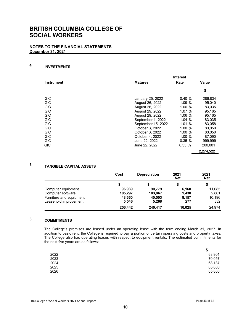#### **NOTES TO THE FINANCIAL STATEMENTS December 31, 2021**

#### **4. INVESTMENTS**

|                   | <b>Interest</b>    |           |           |  |
|-------------------|--------------------|-----------|-----------|--|
| <b>Instrument</b> | <b>Matures</b>     | Rate      | Value     |  |
|                   |                    |           | \$        |  |
| <b>GIC</b>        | January 25, 2022   | 0.40%     | 286,834   |  |
| <b>GIC</b>        | August 26, 2022    | 1.09%     | 95.040    |  |
| <b>GIC</b>        | August 26, 2022    | 1.06%     | 83,035    |  |
| <b>GIC</b>        | August 29, 2022    | 1.07%     | 95.165    |  |
| <b>GIC</b>        | August 29, 2022    | 1.06%     | 95,165    |  |
| <b>GIC</b>        | September 1, 2022  | 1.04 $%$  | 83,035    |  |
| <b>GIC</b>        | September 15, 2022 | 1.01%     | 83,058    |  |
| <b>GIC</b>        | October 3, 2022    | 1.00%     | 83.050    |  |
| <b>GIC</b>        | October 3, 2022    | 1.00%     | 83,050    |  |
| <b>GIC</b>        | October 4, 2022    | $1.00 \%$ | 87,090    |  |
| <b>GIC</b>        | June 22, 2022      | 0.35%     | 999,999   |  |
| <b>GIC</b>        | June 22, 2022      | 0.35%     | 200,001   |  |
|                   |                    |           | 2,274,522 |  |

#### **5. TANGIBLE CAPITAL ASSETS**

|                         | Cost    | <b>Depreciation</b> | 2021<br><b>Net</b> | 2021<br><b>Net</b> |
|-------------------------|---------|---------------------|--------------------|--------------------|
|                         |         | 5                   |                    |                    |
| Computer equipment      | 96.939  | 90.779              | 6,160              | 11,085             |
| Computer software       | 105,297 | 103,867             | 1,430              | 2,861              |
| Furniture and equipment | 48,660  | 40,503              | 8,157              | 10,196             |
| Leasehold improvement   | 5.546   | 5,268               | 277                | 832                |
|                         | 256.442 | 240.417             | 16.025             | 24.974             |

#### **6. COMMITMENTS**

The College's premises are leased under an operating lease with the term ending March 31, 2027. In addition to basic rent, the College is required to pay a portion of certain operating costs and property taxes. The College also has operating leases with respect to equipment rentals. The estimated commitments for the next five years are as follows:

| \$     |
|--------|
| 68,901 |
| 70,057 |
| 68,137 |
| 65,800 |
| 65,800 |
|        |